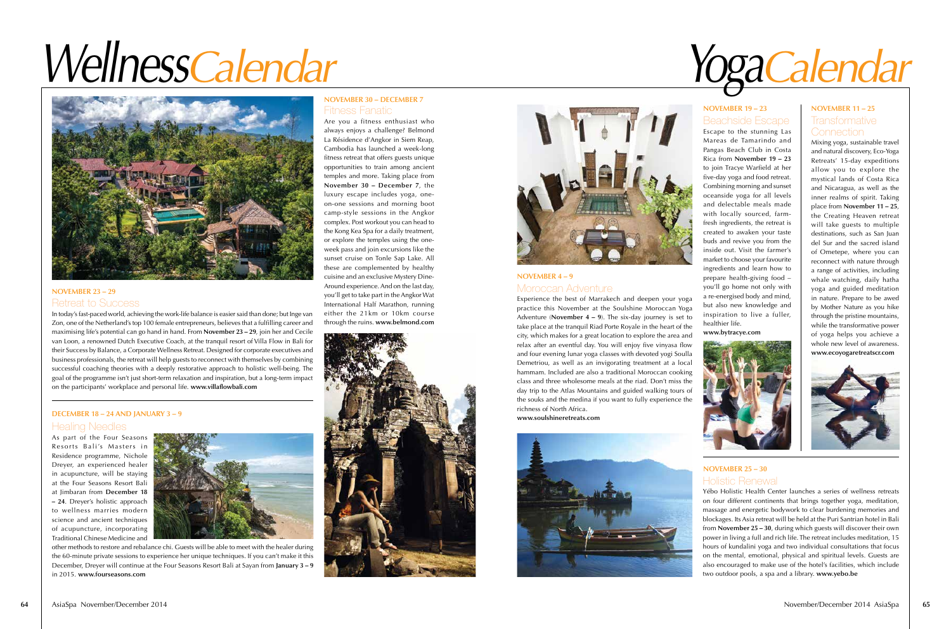# *WellnessCalendar YogaCalendar*



Are you a fitness enthusiast who always enjoys a challenge? Belmond La Résidence d'Angkor in Siem Reap, Cambodia has launched a week-long fitness retreat that offers guests unique opportunities to train among ancient temples and more. Taking place from **November 30 – December 7**, the luxury escape includes yoga, oneon-one sessions and morning boot camp-style sessions in the Angkor complex. Post workout you can head to the Kong Kea Spa for a daily treatment, or explore the temples using the oneweek pass and join excursions like the sunset cruise on Tonle Sap Lake. All these are complemented by healthy cuisine and an exclusive Mystery Dine-Around experience. And on the last day, you'll get to take part in the Angkor Wat International Half Marathon, running either the 21km or 10km course through the ruins. **www.belmond.com NOVEMBER 23 – 29** Moroccan Adventure







### Fitness Fanatic **November 30 – December 7**

#### Healing Needles

As part of the Four Seasons Resorts Bali's Masters in Residence programme, Nichole Dreyer, an experienced healer in acupuncture, will be staying at the Four Seasons Resort Bali at Jimbaran from **December 18 – 24**. Dreyer's holistic approach to wellness marries modern science and ancient techniques of acupuncture, incorporating Traditional Chinese Medicine and



other methods to restore and rebalance chi. Guests will be able to meet with the healer during the 60-minute private sessions to experience her unique techniques. If you can't make it this December, Dreyer will continue at the Four Seasons Resort Bali at Sayan from **January 3 – 9** in 2015. **www.fourseasons.com**

### **December 18 – 24 AND JANUARY 3 – 9**

## Retreat to Success

In today's fast-paced world, achieving the work-life balance is easier said than done; but Inge van Zon, one of the Netherland's top 100 female entrepreneurs, believes that a fulfilling career and maximising life's potential can go hand in hand. From **November 23 – 29**, join her and Cecile van Loon, a renowned Dutch Executive Coach, at the tranquil resort of Villa Flow in Bali for their Success by Balance, a Corporate Wellness Retreat. Designed for corporate executives and business professionals, the retreat will help guests to reconnect with themselves by combining successful coaching theories with a deeply restorative approach to holistic well-being. The goal of the programme isn't just short-term relaxation and inspiration, but a long-term impact on the participants' workplace and personal life. **www.villaflowbali.com**

Experience the best of Marrakech and deepen your yoga practice this November at the Soulshine Moroccan Yoga Adventure (**November 4 – 9**). The six-day journey is set to take place at the tranquil Riad Porte Royale in the heart of the city, which makes for a great location to explore the area and relax after an eventful day. You will enjoy five vinyasa flow and four evening lunar yoga classes with devoted yogi Soulla Demetriou, as well as an invigorating treatment at a local hammam. Included are also a traditional Moroccan cooking class and three wholesome meals at the riad. Don't miss the day trip to the Atlas Mountains and guided walking tours of the souks and the medina if you want to fully experience the richness of North Africa. **www.soulshineretreats.com**



## **November 4 – 9**

## Holistic Renewal **November 25 – 30**

Yébo Holistic Health Center launches a series of wellness retreats on four different continents that brings together yoga, meditation, massage and energetic bodywork to clear burdening memories and blockages. Its Asia retreat will be held at the Puri Santrian hotel in Bali from **November 25 – 30**, during which guests will discover their own power in living a full and rich life. The retreat includes meditation, 15 hours of kundalini yoga and two individual consultations that focus on the mental, emotional, physical and spiritual levels. Guests are also encouraged to make use of the hotel's facilities, which include two outdoor pools, a spa and a library. **www.yebo.be**

## **November 19 – 23 November 11 – 25** Beachside Escape

Mixing yoga, sustainable travel and natural discovery, Eco-Yoga Retreats' 15-day expeditions allow you to explore the mystical lands of Costa Rica and Nicaragua, as well as the inner realms of spirit. Taking place from **November 11 – 25**, the Creating Heaven retreat will take guests to multiple destinations, such as San Juan del Sur and the sacred island of Ometepe, where you can reconnect with nature through a range of activities, including whale watching, daily hatha yoga and guided meditation in nature. Prepare to be awed by Mother Nature as you hike through the pristine mountains, while the transformative power of yoga helps you achieve a whole new level of awareness. **www.ecoyogaretreatscr.com**



Escape to the stunning Las Mareas de Tamarindo and Pangas Beach Club in Costa Rica from **November 19 – 23** to join Tracye Warfield at her five-day yoga and food retreat. Combining morning and sunset oceanside yoga for all levels and delectable meals made with locally sourced, farmfresh ingredients, the retreat is created to awaken your taste buds and revive you from the inside out. Visit the farmer's market to choose your favourite ingredients and learn how to prepare health-giving food – you'll go home not only with a re-energised body and mind, but also new knowledge and inspiration to live a fuller, healthier life.

**www.bytracye.com**



## **Transformative Connection**